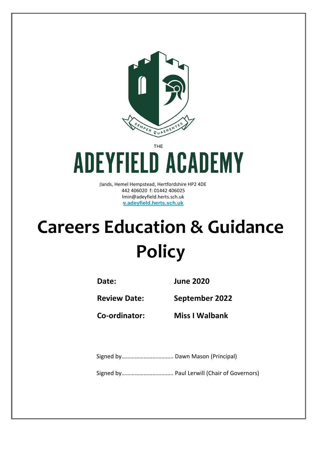

**THE** 

# **ADEYFIELD ACADEMY**

dands, Hemel Hempstead, Hertfordshire HP2 4DE t: 01442 406020 f: 01442 406025 lmin@adeyfield.herts.sch.uk **www.adeyfield.herts.sch.uk**

# **Careers Education & Guidance Policy**

**Date: June 2020**

**Review Date: September 2022**

**Co-ordinator: Miss I Walbank**

Signed by…………………………….. Dawn Mason (Principal)

Signed by…………………………….. Paul Lerwill (Chair of Governors)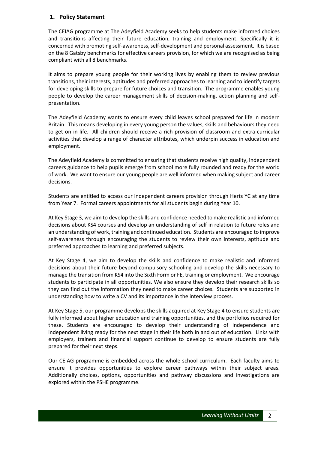#### **1. Policy Statement**

The CEIAG programme at The Adeyfield Academy seeks to help students make informed choices and transitions affecting their future education, training and employment. Specifically it is concerned with promoting self-awareness, self-development and personal assessment. It is based on the 8 Gatsby benchmarks for effective careers provision, for which we are recognised as being compliant with all 8 benchmarks.

It aims to prepare young people for their working lives by enabling them to review previous transitions, their interests, aptitudes and preferred approaches to learning and to identify targets for developing skills to prepare for future choices and transition. The programme enables young people to develop the career management skills of decision-making, action planning and selfpresentation.

The Adeyfield Academy wants to ensure every child leaves school prepared for life in modern Britain. This means developing in every young person the values, skills and behaviours they need to get on in life. All children should receive a rich provision of classroom and extra-curricular activities that develop a range of character attributes, which underpin success in education and employment.

The Adeyfield Academy is committed to ensuring that students receive high quality, independent careers guidance to help pupils emerge from school more fully rounded and ready for the world of work. We want to ensure our young people are well informed when making subject and career decisions.

Students are entitled to access our independent careers provision through Herts YC at any time from Year 7. Formal careers appointments for all students begin during Year 10.

At Key Stage 3, we aim to develop the skills and confidence needed to make realistic and informed decisions about KS4 courses and develop an understanding of self in relation to future roles and an understanding of work, training and continued education. Students are encouraged to improve self-awareness through encouraging the students to review their own interests, aptitude and preferred approaches to learning and preferred subjects.

At Key Stage 4, we aim to develop the skills and confidence to make realistic and informed decisions about their future beyond compulsory schooling and develop the skills necessary to manage the transition from KS4 into the Sixth Form or FE, training or employment. We encourage students to participate in all opportunities. We also ensure they develop their research skills so they can find out the information they need to make career choices. Students are supported in understanding how to write a CV and its importance in the interview process.

At Key Stage 5, our programme develops the skills acquired at Key Stage 4 to ensure students are fully informed about higher education and training opportunities, and the portfolios required for these. Students are encouraged to develop their understanding of independence and independent living ready for the next stage in their life both in and out of education. Links with employers, trainers and financial support continue to develop to ensure students are fully prepared for their next steps.

Our CEIAG programme is embedded across the whole-school curriculum. Each faculty aims to ensure it provides opportunities to explore career pathways within their subject areas. Additionally choices, options, opportunities and pathway discussions and investigations are explored within the PSHE programme.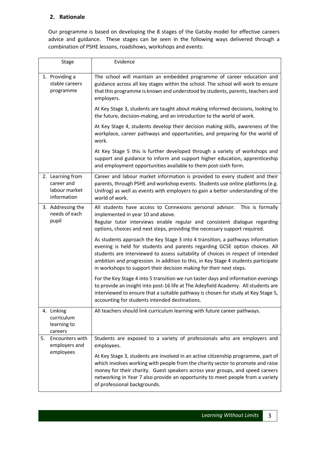### **2. Rationale**

Our programme is based on developing the 8 stages of the Gatsby model for effective careers advice and guidance. These stages can be seen in the following ways delivered through a combination of PSHE lessons, roadshows, workshops and events:

| <b>Stage</b>          |                                                                | Evidence                                                                                                                                                                                                                                                                                                                                                                                                       |
|-----------------------|----------------------------------------------------------------|----------------------------------------------------------------------------------------------------------------------------------------------------------------------------------------------------------------------------------------------------------------------------------------------------------------------------------------------------------------------------------------------------------------|
| 1. Providing a        | stable careers<br>programme                                    | The school will maintain an embedded programme of career education and<br>guidance across all key stages within the school. The school will work to ensure<br>that this programme is known and understood by students, parents, teachers and<br>employers.                                                                                                                                                     |
|                       |                                                                | At Key Stage 3, students are taught about making informed decisions, looking to<br>the future, decision-making, and an introduction to the world of work.                                                                                                                                                                                                                                                      |
|                       |                                                                | At Key Stage 4, students develop their decision making skills, awareness of the<br>workplace, career pathways and opportunities, and preparing for the world of<br>work.                                                                                                                                                                                                                                       |
|                       |                                                                | At Key Stage 5 this is further developed through a variety of workshops and<br>support and guidance to inform and support higher education, apprenticeship<br>and employment opportunities available to them post-sixth form.                                                                                                                                                                                  |
|                       | 2. Learning from<br>career and<br>labour market<br>information | Career and labour market information is provided to every student and their<br>parents, through PSHE and workshop events. Students use online platforms (e.g.<br>Unifrog) as well as events with employers to gain a better understanding of the<br>world of work.                                                                                                                                             |
| pupil                 | 3. Addressing the<br>needs of each                             | All students have access to Connexions personal advisor.<br>This is formally<br>implemented in year 10 and above.<br>Regular tutor interviews enable regular and consistent dialogue regarding<br>options, choices and next steps, providing the necessary support required.                                                                                                                                   |
|                       |                                                                | As students approach the Key Stage 3 into 4 transition, a pathways information<br>evening is held for students and parents regarding GCSE option choices. All<br>students are interviewed to assess suitability of choices in respect of intended<br>ambition and progression. In addition to this, in Key Stage 4 students participate<br>in workshops to support their decision making for their next steps. |
|                       |                                                                | For the Key Stage 4 into 5 transition we run taster days and information evenings<br>to provide an insight into post-16 life at The Adeyfield Academy. All students are<br>interviewed to ensure that a suitable pathway is chosen for study at Key Stage 5,<br>accounting for students intended destinations.                                                                                                 |
| 4. Linking<br>careers | curriculum<br>learning to                                      | All teachers should link curriculum learning with future career pathways.                                                                                                                                                                                                                                                                                                                                      |
| 5.                    | Encounters with<br>employers and<br>employees                  | Students are exposed to a variety of professionals who are employers and<br>employees.                                                                                                                                                                                                                                                                                                                         |
|                       |                                                                | At Key Stage 3, students are involved in an active citizenship programme, part of<br>which involves working with people from the charity sector to promote and raise<br>money for their charity. Guest speakers across year groups, and speed careers<br>networking in Year 7 also provide an opportunity to meet people from a variety<br>of professional backgrounds.                                        |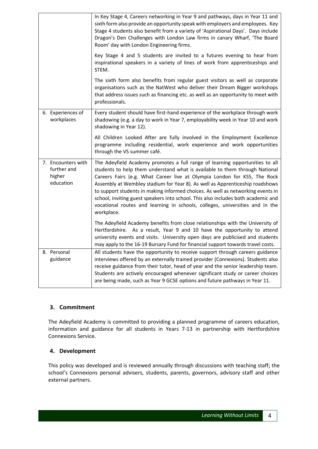|                                                          | In Key Stage 4, Careers networking in Year 9 and pathways, days in Year 11 and<br>sixth form also provide an opportunity speak with employers and employees. Key<br>Stage 4 students also benefit from a variety of 'Aspirational Days'. Days include<br>Dragon's Den Challenges with London Law firms in canary Wharf, 'The Board<br>Room' day with London Engineering firms.                                                                                                                                                                                                                |
|----------------------------------------------------------|-----------------------------------------------------------------------------------------------------------------------------------------------------------------------------------------------------------------------------------------------------------------------------------------------------------------------------------------------------------------------------------------------------------------------------------------------------------------------------------------------------------------------------------------------------------------------------------------------|
|                                                          | Key Stage 4 and 5 students are invited to a futures evening to hear from<br>inspirational speakers in a variety of lines of work from apprenticeships and<br>STEM.                                                                                                                                                                                                                                                                                                                                                                                                                            |
|                                                          | The sixth form also benefits from regular guest visitors as well as corporate<br>organisations such as the NatWest who deliver their Dream Bigger workshops<br>that address issues such as financing etc. as well as an opportunity to meet with<br>professionals.                                                                                                                                                                                                                                                                                                                            |
| 6. Experiences of<br>workplaces                          | Every student should have first-hand experience of the workplace through work<br>shadowing (e.g. a day to work in Year 7, employability week in Year 10 and work<br>shadowing in Year 12).                                                                                                                                                                                                                                                                                                                                                                                                    |
|                                                          | All Children Looked After are fully involved in the Employment Excellence<br>programme including residential, work experience and work opportunities<br>through the VS summer café.                                                                                                                                                                                                                                                                                                                                                                                                           |
| 7. Encounters with<br>further and<br>higher<br>education | The Adeyfield Academy promotes a full range of learning opportunities to all<br>students to help them understand what is available to them through National<br>Careers Fairs (e.g. What Career live at Olympia London for KS5, The Rock<br>Assembly at Wembley stadium for Year 8). As well as Apprenticeship roadshows<br>to support students in making informed choices. As well as networking events in<br>school, inviting guest speakers into school. This also includes both academic and<br>vocational routes and learning in schools, colleges, universities and in the<br>workplace. |
|                                                          | The Adeyfield Academy benefits from close relationships with the University of<br>Hertfordshire. As a result, Year 9 and 10 have the opportunity to attend<br>university events and visits. University open days are publicised and students<br>may apply to the 16-19 Bursary Fund for financial support towards travel costs.                                                                                                                                                                                                                                                               |
| 8. Personal<br>guidance                                  | All students have the opportunity to receive support through careers guidance<br>interviews offered by an externally trained provider (Connexions). Students also<br>receive guidance from their tutor, head of year and the senior leadership team.<br>Students are actively encouraged whenever significant study or career choices<br>are being made, such as Year 9 GCSE options and future pathways in Year 11.                                                                                                                                                                          |

# **3. Commitment**

The Adeyfield Academy is committed to providing a planned programme of careers education, information and guidance for all students in Years 7-13 in partnership with Hertfordshire Connexions Service.

#### **4. Development**

This policy was developed and is reviewed annually through discussions with teaching staff; the school's Connexions personal advisers, students, parents, governors, advisory staff and other external partners.